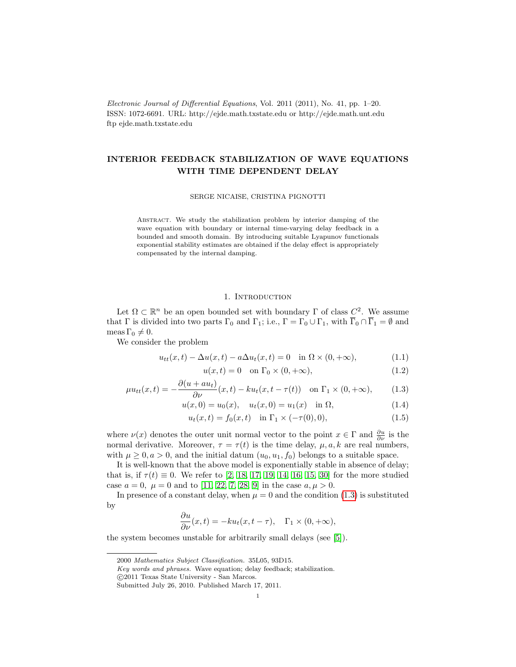Electronic Journal of Differential Equations, Vol. 2011 (2011), No. 41, pp. 1–20. ISSN: 1072-6691. URL: http://ejde.math.txstate.edu or http://ejde.math.unt.edu ftp ejde.math.txstate.edu

# INTERIOR FEEDBACK STABILIZATION OF WAVE EQUATIONS WITH TIME DEPENDENT DELAY

SERGE NICAISE, CRISTINA PIGNOTTI

Abstract. We study the stabilization problem by interior damping of the wave equation with boundary or internal time-varying delay feedback in a bounded and smooth domain. By introducing suitable Lyapunov functionals exponential stability estimates are obtained if the delay effect is appropriately compensated by the internal damping.

## <span id="page-0-1"></span>1. INTRODUCTION

Let  $\Omega \subset \mathbb{R}^n$  be an open bounded set with boundary  $\Gamma$  of class  $C^2$ . We assume that  $\Gamma$  is divided into two parts  $\Gamma_0$  and  $\Gamma_1$ ; i.e.,  $\Gamma = \Gamma_0 \cup \Gamma_1$ , with  $\overline{\Gamma}_0 \cap \overline{\Gamma}_1 = \emptyset$  and meas  $\Gamma_0 \neq 0$ .

We consider the problem

$$
u_{tt}(x,t) - \Delta u(x,t) - a\Delta u_t(x,t) = 0 \quad \text{in } \Omega \times (0, +\infty), \tag{1.1}
$$

<span id="page-0-2"></span><span id="page-0-0"></span>
$$
u(x,t) = 0 \quad \text{on } \Gamma_0 \times (0, +\infty), \tag{1.2}
$$

$$
\mu u_{tt}(x,t) = -\frac{\partial(u + au_t)}{\partial \nu}(x,t) - ku_t(x,t - \tau(t)) \quad \text{on } \Gamma_1 \times (0, +\infty), \tag{1.3}
$$

$$
u(x,0) = u_0(x), \quad u_t(x,0) = u_1(x) \quad \text{in } \Omega,
$$
\n(1.4)

$$
u_t(x,t) = f_0(x,t) \quad \text{in } \Gamma_1 \times (-\tau(0),0), \tag{1.5}
$$

where  $\nu(x)$  denotes the outer unit normal vector to the point  $x \in \Gamma$  and  $\frac{\partial u}{\partial \nu}$  is the normal derivative. Moreover,  $\tau = \tau(t)$  is the time delay,  $\mu, a, k$  are real numbers, with  $\mu \geq 0, a > 0$ , and the initial datum  $(u_0, u_1, f_0)$  belongs to a suitable space.

It is well-known that the above model is exponentially stable in absence of delay; that is, if  $\tau(t) \equiv 0$ . We refer to [\[2,](#page-18-0) [18,](#page-18-1) [17,](#page-18-2) [19,](#page-18-3) [14,](#page-18-4) [16,](#page-18-5) [15,](#page-18-6) [30\]](#page-19-0) for the more studied case  $a = 0$ ,  $\mu = 0$  and to [\[11,](#page-18-7) [22,](#page-18-8) [7,](#page-18-9) [28,](#page-19-1) [9\]](#page-18-10) in the case  $a, \mu > 0$ .

In presence of a constant delay, when  $\mu = 0$  and the condition [\(1.3\)](#page-0-0) is substituted by

$$
\frac{\partial u}{\partial \nu}(x,t) = -ku_t(x,t-\tau), \quad \Gamma_1 \times (0,+\infty),
$$

the system becomes unstable for arbitrarily small delays (see [\[5\]](#page-18-11)).

Key words and phrases. Wave equation; delay feedback; stabilization.

<sup>2000</sup> Mathematics Subject Classification. 35L05, 93D15.

 $\bigodot 2011$  Texas State University - San Marcos.

Submitted July 26, 2010. Published March 17, 2011.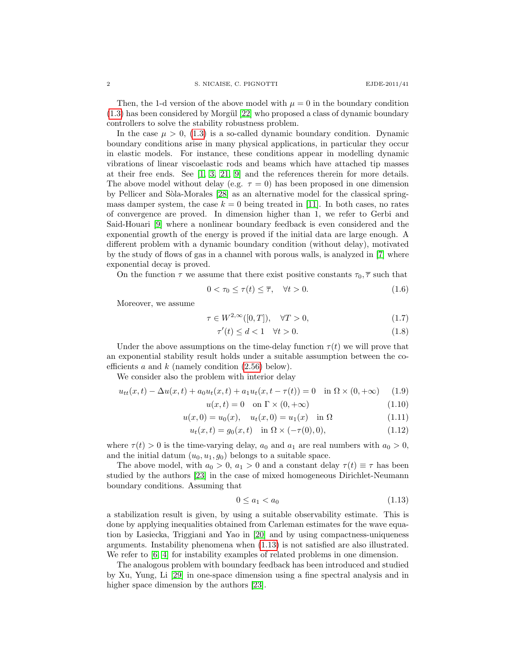Then, the 1-d version of the above model with  $\mu = 0$  in the boundary condition  $(1.3)$  has been considered by Morgül  $[22]$  who proposed a class of dynamic boundary controllers to solve the stability robustness problem.

In the case  $\mu > 0$ , [\(1.3\)](#page-0-0) is a so-called dynamic boundary condition. Dynamic boundary conditions arise in many physical applications, in particular they occur in elastic models. For instance, these conditions appear in modelling dynamic vibrations of linear viscoelastic rods and beams which have attached tip masses at their free ends. See [\[1,](#page-18-12) [3,](#page-18-13) [21,](#page-18-14) [9\]](#page-18-10) and the references therein for more details. The above model without delay (e.g.  $\tau = 0$ ) has been proposed in one dimension by Pellicer and Sòla-Morales [\[28\]](#page-19-1) as an alternative model for the classical springmass damper system, the case  $k = 0$  being treated in [\[11\]](#page-18-7). In both cases, no rates of convergence are proved. In dimension higher than 1, we refer to Gerbi and Said-Houari [\[9\]](#page-18-10) where a nonlinear boundary feedback is even considered and the exponential growth of the energy is proved if the initial data are large enough. A different problem with a dynamic boundary condition (without delay), motivated by the study of flows of gas in a channel with porous walls, is analyzed in [\[7\]](#page-18-9) where exponential decay is proved.

On the function  $\tau$  we assume that there exist positive constants  $\tau_0$ ,  $\overline{\tau}$  such that

<span id="page-1-5"></span>
$$
0 < \tau_0 \le \tau(t) \le \overline{\tau}, \quad \forall t > 0. \tag{1.6}
$$

Moreover, we assume

$$
\tau \in W^{2,\infty}([0,T]), \quad \forall T > 0,
$$
\n
$$
(1.7)
$$

<span id="page-1-4"></span><span id="page-1-3"></span>
$$
\tau'(t) \le d < 1 \quad \forall t > 0. \tag{1.8}
$$

Under the above assumptions on the time-delay function  $\tau(t)$  we will prove that an exponential stability result holds under a suitable assumption between the coefficients a and  $k$  (namely condition  $(2.56)$  below).

We consider also the problem with interior delay

$$
u_{tt}(x,t) - \Delta u(x,t) + a_0 u_t(x,t) + a_1 u_t(x,t - \tau(t)) = 0 \quad \text{in } \Omega \times (0, +\infty) \tag{1.9}
$$

<span id="page-1-1"></span>
$$
u(x,t) = 0 \quad \text{on } \Gamma \times (0, +\infty) \tag{1.10}
$$

$$
u(x,0) = u_0(x), \quad u_t(x,0) = u_1(x) \quad \text{in } \Omega \tag{1.11}
$$

$$
u_t(x,t) = g_0(x,t) \quad \text{in } \Omega \times (-\tau(0),0), \tag{1.12}
$$

where  $\tau(t) > 0$  is the time-varying delay,  $a_0$  and  $a_1$  are real numbers with  $a_0 > 0$ , and the initial datum  $(u_0, u_1, g_0)$  belongs to a suitable space.

The above model, with  $a_0 > 0$ ,  $a_1 > 0$  and a constant delay  $\tau(t) \equiv \tau$  has been studied by the authors [\[23\]](#page-18-15) in the case of mixed homogeneous Dirichlet-Neumann boundary conditions. Assuming that

<span id="page-1-2"></span><span id="page-1-0"></span>
$$
0 \le a_1 < a_0 \tag{1.13}
$$

a stabilization result is given, by using a suitable observability estimate. This is done by applying inequalities obtained from Carleman estimates for the wave equation by Lasiecka, Triggiani and Yao in [\[20\]](#page-18-16) and by using compactness-uniqueness arguments. Instability phenomena when [\(1.13\)](#page-1-0) is not satisfied are also illustrated. We refer to [\[6,](#page-18-17) [4\]](#page-18-18) for instability examples of related problems in one dimension.

The analogous problem with boundary feedback has been introduced and studied by Xu, Yung, Li [\[29\]](#page-19-2) in one-space dimension using a fine spectral analysis and in higher space dimension by the authors [\[23\]](#page-18-15).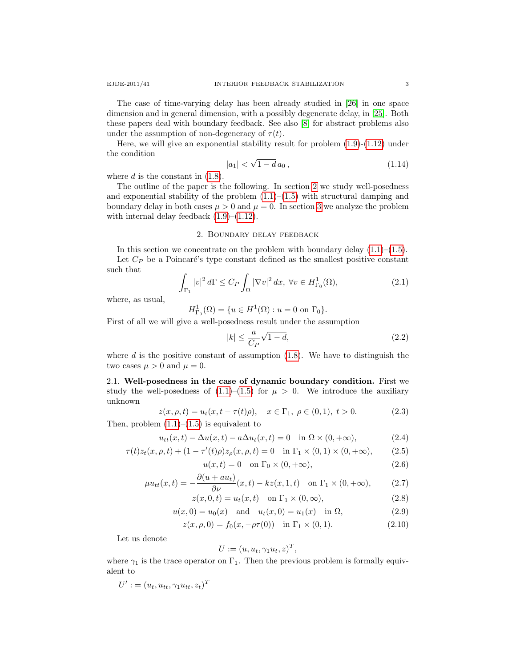The case of time-varying delay has been already studied in [\[26\]](#page-19-3) in one space dimension and in general dimension, with a possibly degenerate delay, in [\[25\]](#page-19-4). Both these papers deal with boundary feedback. See also [\[8\]](#page-18-19) for abstract problems also under the assumption of non-degeneracy of  $\tau(t)$ .

Here, we will give an exponential stability result for problem [\(1.9\)](#page-1-1)-[\(1.12\)](#page-1-2) under the condition √

<span id="page-2-3"></span>
$$
|a_1| < \sqrt{1 - d} \, a_0 \,, \tag{1.14}
$$

where  $d$  is the constant in  $(1.8)$ .

The outline of the paper is the following. In section [2](#page-2-0) we study well-posedness and exponential stability of the problem  $(1.1)$ – $(1.5)$  with structural damping and boundary delay in both cases  $\mu > 0$  and  $\mu = 0$ . In section [3](#page-14-0) we analyze the problem with internal delay feedback  $(1.9)$ – $(1.12)$ .

#### 2. Boundary delay feedback

<span id="page-2-0"></span>In this section we concentrate on the problem with boundary delay  $(1.1)$ – $(1.5)$ . Let  $C_P$  be a Poincaré's type constant defined as the smallest positive constant such that

$$
\int_{\Gamma_1} |v|^2 d\Gamma \le C_P \int_{\Omega} |\nabla v|^2 dx, \ \forall v \in H^1_{\Gamma_0}(\Omega),\tag{2.1}
$$

where, as usual,

$$
H^1_{\Gamma_0}(\Omega) = \{ u \in H^1(\Omega) : u = 0 \text{ on } \Gamma_0 \}.
$$

First of all we will give a well-posedness result under the assumption

<span id="page-2-1"></span>
$$
|k| \le \frac{a}{C_P} \sqrt{1 - d},\tag{2.2}
$$

where  $d$  is the positive constant of assumption  $(1.8)$ . We have to distinguish the two cases  $\mu > 0$  and  $\mu = 0$ .

2.1. Well-posedness in the case of dynamic boundary condition. First we study the well-posedness of  $(1.1)$ – $(1.5)$  for  $\mu > 0$ . We introduce the auxiliary unknown

<span id="page-2-2"></span>
$$
z(x, \rho, t) = u_t(x, t - \tau(t)\rho), \quad x \in \Gamma_1, \ \rho \in (0, 1), \ t > 0.
$$
 (2.3)

Then, problem  $(1.1)$ – $(1.5)$  is equivalent to

$$
u_{tt}(x,t) - \Delta u(x,t) - a\Delta u_t(x,t) = 0 \quad \text{in } \Omega \times (0, +\infty), \tag{2.4}
$$

$$
\tau(t)z_t(x,\rho,t) + (1 - \tau'(t)\rho)z_{\rho}(x,\rho,t) = 0 \quad \text{in } \Gamma_1 \times (0,1) \times (0,+\infty), \tag{2.5}
$$

$$
u(x,t) = 0 \quad \text{on } \Gamma_0 \times (0, +\infty), \tag{2.6}
$$

$$
\mu u_{tt}(x,t) = -\frac{\partial(u + au_t)}{\partial \nu}(x,t) - kz(x,1,t) \quad \text{on } \Gamma_1 \times (0, +\infty), \tag{2.7}
$$

$$
z(x,0,t) = u_t(x,t) \quad \text{on } \Gamma_1 \times (0,\infty), \tag{2.8}
$$

$$
u(x,0) = u_0(x)
$$
 and  $u_t(x,0) = u_1(x)$  in  $\Omega$ , (2.9)

$$
z(x, \rho, 0) = f_0(x, -\rho \tau(0)) \text{ in } \Gamma_1 \times (0, 1).
$$
 (2.10)

Let us denote

$$
U := (u, u_t, \gamma_1 u_t, z)^T,
$$

where  $\gamma_1$  is the trace operator on  $\Gamma_1$ . Then the previous problem is formally equivalent to

$$
U' := (u_t, u_{tt}, \gamma_1 u_{tt}, z_t)^T
$$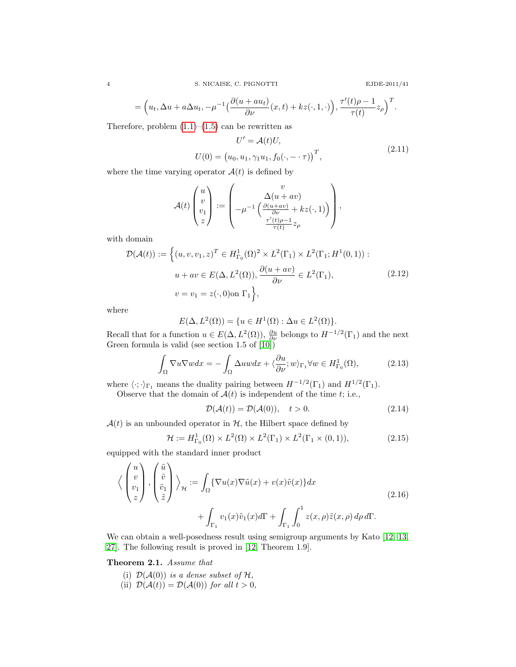$$
EJDE-2011/4
$$

$$
= \Big(u_t, \Delta u + a\Delta u_t, -\mu^{-1}\Big(\frac{\partial(u + au_t)}{\partial \nu}(x, t) + kz(\cdot, 1, \cdot)\Big), \frac{\tau'(t)\rho - 1}{\tau(t)}z_\rho\Big)^T.
$$

Therefore, problem  $(1.1)$ – $(1.5)$  can be rewritten as

<span id="page-3-0"></span>
$$
U' = \mathcal{A}(t)U,
$$
  
 
$$
U(0) = (u_0, u_1, \gamma_1 u_1, f_0(\cdot, -\cdot \tau))^T,
$$
 (2.11)

where the time varying operator  $A(t)$  is defined by

$$
\mathcal{A}(t) \begin{pmatrix} u \\ v \\ v_1 \\ z \end{pmatrix} := \begin{pmatrix} v \\ -\mu^{-1} \left( \frac{\Delta(u + av)}{\frac{\partial(u + av)}{\partial \nu} + kz(\cdot, 1) \right) \\ \frac{\tau'(t)\rho - 1}{\tau(t)} z_{\rho} \end{pmatrix},
$$

with domain

<span id="page-3-2"></span>
$$
\mathcal{D}(\mathcal{A}(t)) := \left\{ (u, v, v_1, z)^T \in H^1_{\Gamma_0}(\Omega)^2 \times L^2(\Gamma_1) \times L^2(\Gamma_1; H^1(0, 1)) : u + av \in E(\Delta, L^2(\Omega)), \frac{\partial(u + av)}{\partial \nu} \in L^2(\Gamma_1), \right\}
$$
\n
$$
v = v_1 = z(\cdot, 0) \text{ on } \Gamma_1 \right\},
$$
\n(2.12)

where

$$
E(\Delta, L^2(\Omega)) = \{ u \in H^1(\Omega) : \Delta u \in L^2(\Omega) \}.
$$

Recall that for a function  $u \in E(\Delta, L^2(\Omega))$ ,  $\frac{\partial u}{\partial \nu}$  belongs to  $H^{-1/2}(\Gamma_1)$  and the next Green formula is valid (see section 1.5 of [\[10\]](#page-18-20))

<span id="page-3-3"></span>
$$
\int_{\Omega} \nabla u \nabla w dx = -\int_{\Omega} \Delta u w dx + \langle \frac{\partial u}{\partial \nu}; w \rangle_{\Gamma_1} \forall w \in H^1_{\Gamma_0}(\Omega),\tag{2.13}
$$

where  $\langle \cdot; \cdot \rangle_{\Gamma_1}$  means the duality pairing between  $H^{-1/2}(\Gamma_1)$  and  $H^{1/2}(\Gamma_1)$ .

Observe that the domain of  $A(t)$  is independent of the time t; i.e.,

<span id="page-3-4"></span>
$$
\mathcal{D}(\mathcal{A}(t)) = \mathcal{D}(\mathcal{A}(0)), \quad t > 0.
$$
\n(2.14)

 $\mathcal{A}(t)$  is an unbounded operator in  $\mathcal{H}$ , the Hilbert space defined by

$$
\mathcal{H} := H^1_{\Gamma_0}(\Omega) \times L^2(\Omega) \times L^2(\Gamma_1) \times L^2(\Gamma_1 \times (0,1)),\tag{2.15}
$$

equipped with the standard inner product

$$
\left\langle \begin{pmatrix} u \\ v \\ v_1 \\ z \end{pmatrix}, \begin{pmatrix} \tilde{u} \\ \tilde{v} \\ \tilde{z} \end{pmatrix} \right\rangle_{\mathcal{H}} := \int_{\Omega} \{ \nabla u(x) \nabla \tilde{u}(x) + v(x) \tilde{v}(x) \} dx + \int_{\Gamma_1} v_1(x) \tilde{v}_1(x) d\Gamma + \int_{\Gamma_1} \int_0^1 z(x, \rho) \tilde{z}(x, \rho) d\rho d\Gamma.
$$
 (2.16)

We can obtain a well-posedness result using semigroup arguments by Kato [\[12,](#page-18-21) [13,](#page-18-22) [27\]](#page-19-5). The following result is proved in [\[12,](#page-18-21) Theorem 1.9].

<span id="page-3-1"></span>Theorem 2.1. Assume that

- (i)  $\mathcal{D}(\mathcal{A}(0))$  is a dense subset of  $\mathcal{H}$ ,
- (ii)  $\mathcal{D}(\mathcal{A}(t)) = \mathcal{D}(\mathcal{A}(0))$  for all  $t > 0$ ,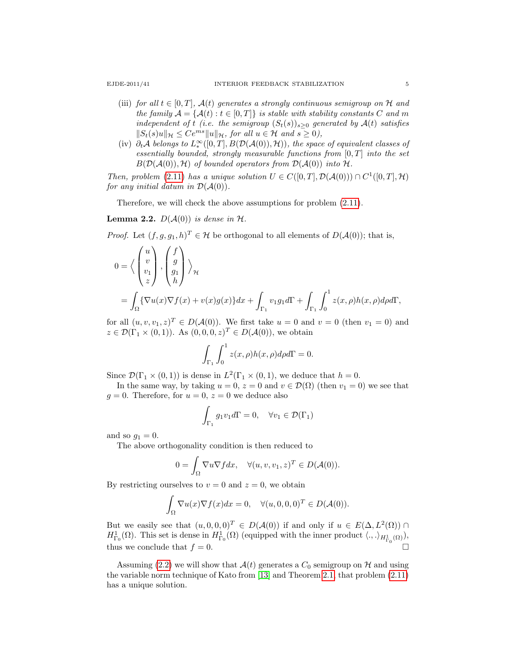- (iii) for all  $t \in [0, T]$ ,  $\mathcal{A}(t)$  generates a strongly continuous semigroup on H and the family  $\mathcal{A} = \{ \mathcal{A}(t) : t \in [0, T] \}$  is stable with stability constants C and m independent of t (i.e. the semigroup  $(S_t(s))_{s>0}$  generated by  $A(t)$  satisfies  $||S_t(s)u||_{\mathcal{H}} \leq Ce^{ms}||u||_{\mathcal{H}}$ , for all  $u \in \mathcal{H}$  and  $s \geq 0$ ),
- (iv)  $\partial_t A$  belongs to  $L_*^{\infty}([0,T], B(\mathcal{D}(\mathcal{A}(0)),\mathcal{H}))$ , the space of equivalent classes of essentially bounded, strongly measurable functions from  $[0, T]$  into the set  $B(D(\mathcal{A}(0)), \mathcal{H})$  of bounded operators from  $D(\mathcal{A}(0))$  into H.

Then, problem [\(2.11\)](#page-3-0) has a unique solution  $U \in C([0,T], \mathcal{D}(\mathcal{A}(0))) \cap C^1([0,T], \mathcal{H})$ for any initial datum in  $\mathcal{D}(\mathcal{A}(0))$ .

Therefore, we will check the above assumptions for problem [\(2.11\)](#page-3-0).

<span id="page-4-0"></span>**Lemma 2.2.**  $D(A(0))$  is dense in  $H$ .

*Proof.* Let  $(f, g, g_1, h)^T \in \mathcal{H}$  be orthogonal to all elements of  $D(\mathcal{A}(0))$ ; that is,

$$
0 = \left\langle \begin{pmatrix} u \\ v \\ v_1 \\ z \end{pmatrix}, \begin{pmatrix} f \\ g \\ g_1 \\ h \end{pmatrix} \right\rangle_{\mathcal{H}}
$$
  
= 
$$
\int_{\Omega} {\nabla u(x) \nabla f(x) + v(x)g(x)} dx + \int_{\Gamma_1} v_1 g_1 d\Gamma + \int_{\Gamma_1} \int_0^1 z(x, \rho) h(x, \rho) d\rho d\Gamma,
$$

for all  $(u, v, v_1, z)^T \in D(A(0))$ . We first take  $u = 0$  and  $v = 0$  (then  $v_1 = 0$ ) and  $z \in \mathcal{D}(\Gamma_1 \times (0,1))$ . As  $(0,0,0,z)^T \in D(\mathcal{A}(0))$ , we obtain

$$
\int_{\Gamma_1} \int_0^1 z(x,\rho)h(x,\rho)d\rho d\Gamma = 0.
$$

Since  $\mathcal{D}(\Gamma_1 \times (0,1))$  is dense in  $L^2(\Gamma_1 \times (0,1))$ , we deduce that  $h=0$ .

In the same way, by taking  $u = 0$ ,  $z = 0$  and  $v \in \mathcal{D}(\Omega)$  (then  $v_1 = 0$ ) we see that  $g = 0$ . Therefore, for  $u = 0$ ,  $z = 0$  we deduce also

$$
\int_{\Gamma_1} g_1 v_1 d\Gamma = 0, \quad \forall v_1 \in \mathcal{D}(\Gamma_1)
$$

and so  $g_1 = 0$ .

The above orthogonality condition is then reduced to

$$
0 = \int_{\Omega} \nabla u \nabla f dx, \quad \forall (u, v, v_1, z)^T \in D(\mathcal{A}(0)).
$$

By restricting ourselves to  $v = 0$  and  $z = 0$ , we obtain

$$
\int_{\Omega} \nabla u(x) \nabla f(x) dx = 0, \quad \forall (u, 0, 0, 0)^T \in D(\mathcal{A}(0)).
$$

But we easily see that  $(u, 0, 0, 0)^T \in D(A(0))$  if and only if  $u \in E(\Delta, L^2(\Omega))$  $H^1_{\Gamma_0}(\Omega)$ . This set is dense in  $H^1_{\Gamma_0}(\Omega)$  (equipped with the inner product  $\langle .,.\rangle_{H^1_{\Gamma_0}(\Omega)}$ ), thus we conclude that  $f = 0$ .

Assuming [\(2.2\)](#page-2-1) we will show that  $\mathcal{A}(t)$  generates a  $C_0$  semigroup on  $\mathcal{H}$  and using the variable norm technique of Kato from [\[13\]](#page-18-22) and Theorem [2.1,](#page-3-1) that problem [\(2.11\)](#page-3-0) has a unique solution.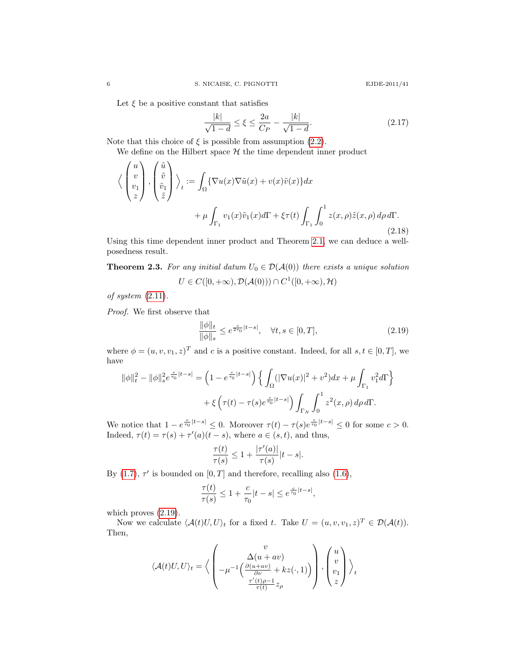Let  $\xi$  be a positive constant that satisfies

<span id="page-5-1"></span>
$$
\frac{|k|}{\sqrt{1-d}} \le \xi \le \frac{2a}{C_P} - \frac{|k|}{\sqrt{1-d}}.\tag{2.17}
$$

Note that this choice of  $\xi$  is possible from assumption [\(2.2\)](#page-2-1).

We define on the Hilbert space  $H$  the time dependent inner product

$$
\langle \begin{pmatrix} u \\ v \\ v_1 \\ z \end{pmatrix}, \begin{pmatrix} \tilde{u} \\ \tilde{v} \\ \tilde{z} \end{pmatrix} \rangle_t := \int_{\Omega} {\{\nabla u(x) \nabla \tilde{u}(x) + v(x) \tilde{v}(x) \} dx} + \mu \int_{\Gamma_1} v_1(x) \tilde{v}_1(x) d\Gamma + \xi \tau(t) \int_{\Gamma_1} \int_0^1 z(x, \rho) \tilde{z}(x, \rho) d\rho d\Gamma.
$$
\n(2.18)

Using this time dependent inner product and Theorem [2.1,](#page-3-1) we can deduce a wellposedness result.

**Theorem 2.3.** For any initial datum  $U_0 \in \mathcal{D}(\mathcal{A}(0))$  there exists a unique solution  $U \in C([0,+\infty), \mathcal{D}(\mathcal{A}(0))) \cap C^1([0,+\infty), \mathcal{H})$ 

of system 
$$
(2.11)
$$
.

 $\mathcal{L} = \mathcal{L}$ 

 $\sim$   $\sim$   $\sim$ 

Proof. We first observe that

<span id="page-5-0"></span>
$$
\frac{\|\phi\|_{t}}{\|\phi\|_{s}} \le e^{\frac{c}{2\tau_{0}}|t-s|}, \quad \forall t, s \in [0, T],
$$
\n(2.19)

where  $\phi = (u, v, v_1, z)^T$  and c is a positive constant. Indeed, for all  $s, t \in [0, T]$ , we have

$$
\|\phi\|_{t}^{2} - \|\phi\|_{s}^{2} e^{\frac{c}{\tau_{0}}|t-s|} = \left(1 - e^{\frac{c}{\tau_{0}}|t-s|}\right) \left\{ \int_{\Omega} (|\nabla u(x)|^{2} + v^{2}) dx + \mu \int_{\Gamma_{1}} v_{1}^{2} d\Gamma \right\} + \xi \left(\tau(t) - \tau(s) e^{\frac{c}{\tau_{0}}|t-s|}\right) \int_{\Gamma_{N}} \int_{0}^{1} z^{2}(x, \rho) d\rho d\Gamma.
$$

We notice that  $1-e^{\frac{c}{\tau_0}|t-s|} \leq 0$ . Moreover  $\tau(t) - \tau(s)e^{\frac{c}{\tau_0}|t-s|} \leq 0$  for some  $c > 0$ . Indeed,  $\tau(t) = \tau(s) + \tau'(a)(t - s)$ , where  $a \in (s, t)$ , and thus,

$$
\frac{\tau(t)}{\tau(s)} \le 1 + \frac{|\tau'(a)|}{\tau(s)}|t-s|.
$$

By  $(1.7)$ ,  $\tau'$  is bounded on  $[0, T]$  and therefore, recalling also  $(1.6)$ ,

$$
\frac{\tau(t)}{\tau(s)} \le 1 + \frac{c}{\tau_0}|t-s| \le e^{\frac{c}{\tau_0}|t-s|},
$$

which proves [\(2.19\)](#page-5-0).

Now we calculate  $\langle \mathcal{A}(t)U, U \rangle_t$  for a fixed t. Take  $U = (u, v, v_1, z)^T \in \mathcal{D}(\mathcal{A}(t)).$ Then,

$$
\langle \mathcal{A}(t)U, U\rangle_t = \langle \begin{pmatrix} v \\ \Delta(u + av) \\ -\mu^{-1}\left(\frac{\partial(u + av)}{\partial \nu} + kz(\cdot, 1)\right) \\ \frac{\tau'(t)\rho - 1}{\tau(t)} z_\rho \end{pmatrix}, \begin{pmatrix} u \\ v \\ v_1 \\ z \end{pmatrix} \rangle_t
$$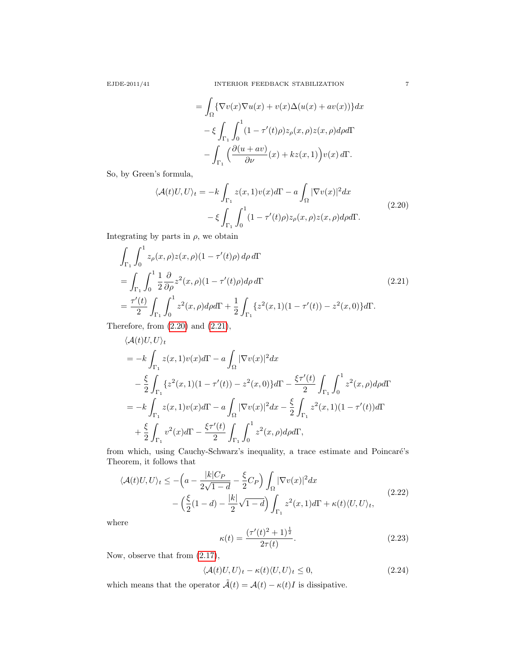$$
= \int_{\Omega} \{ \nabla v(x) \nabla u(x) + v(x) \Delta(u(x) + av(x)) \} dx
$$

$$
- \xi \int_{\Gamma_1} \int_0^1 (1 - \tau'(t)\rho) z_{\rho}(x, \rho) z(x, \rho) d\rho d\Gamma
$$

$$
- \int_{\Gamma_1} \left( \frac{\partial (u + av)}{\partial \nu}(x) + kz(x, 1) \right) v(x) d\Gamma.
$$

<span id="page-6-0"></span>So, by Green's formula,

$$
\langle \mathcal{A}(t)U, U \rangle_t = -k \int_{\Gamma_1} z(x, 1)v(x) d\Gamma - a \int_{\Omega} |\nabla v(x)|^2 dx
$$
  

$$
- \xi \int_{\Gamma_1} \int_0^1 (1 - \tau'(t)\rho) z_\rho(x, \rho) z(x, \rho) d\rho d\Gamma.
$$
 (2.20)

Integrating by parts in  $\rho$ , we obtain

<span id="page-6-1"></span>
$$
\int_{\Gamma_1} \int_0^1 z_\rho(x,\rho) z(x,\rho) (1 - \tau'(t)\rho) d\rho d\Gamma
$$
\n
$$
= \int_{\Gamma_1} \int_0^1 \frac{1}{2} \frac{\partial}{\partial \rho} z^2(x,\rho) (1 - \tau'(t)\rho) d\rho d\Gamma
$$
\n
$$
= \frac{\tau'(t)}{2} \int_{\Gamma_1} \int_0^1 z^2(x,\rho) d\rho d\Gamma + \frac{1}{2} \int_{\Gamma_1} \{z^2(x,1)(1 - \tau'(t)) - z^2(x,0)\} d\Gamma.
$$
\n(2.21)

Therefore, from [\(2.20\)](#page-6-0) and [\(2.21\)](#page-6-1),

$$
\langle \mathcal{A}(t)U, U \rangle_t
$$
  
=  $-k \int_{\Gamma_1} z(x, 1)v(x) d\Gamma - a \int_{\Omega} |\nabla v(x)|^2 dx$   

$$
- \frac{\xi}{2} \int_{\Gamma_1} \{z^2(x, 1)(1 - \tau'(t)) - z^2(x, 0)\} d\Gamma - \frac{\xi \tau'(t)}{2} \int_{\Gamma_1} \int_0^1 z^2(x, \rho) d\rho d\Gamma
$$
  
=  $-k \int_{\Gamma_1} z(x, 1)v(x) d\Gamma - a \int_{\Omega} |\nabla v(x)|^2 dx - \frac{\xi}{2} \int_{\Gamma_1} z^2(x, 1)(1 - \tau'(t)) d\Gamma$   
+  $\frac{\xi}{2} \int_{\Gamma_1} v^2(x) d\Gamma - \frac{\xi \tau'(t)}{2} \int_{\Gamma_1} \int_0^1 z^2(x, \rho) d\rho d\Gamma,$ 

from which, using Cauchy-Schwarz's inequality, a trace estimate and Poincaré's Theorem, it follows that

$$
\langle \mathcal{A}(t)U, U \rangle_t \le -\left(a - \frac{|k|C_P}{2\sqrt{1-d}} - \frac{\xi}{2}C_P\right) \int_{\Omega} |\nabla v(x)|^2 dx
$$
  
 
$$
- \left(\frac{\xi}{2}(1-d) - \frac{|k|}{2}\sqrt{1-d}\right) \int_{\Gamma_1} z^2(x,1)d\Gamma + \kappa(t)\langle U, U \rangle_t,
$$
 (2.22)

where

$$
\kappa(t) = \frac{(\tau'(t)^2 + 1)^{\frac{1}{2}}}{2\tau(t)}.
$$
\n(2.23)

Now, observe that from [\(2.17\)](#page-5-1),

<span id="page-6-2"></span>
$$
\langle \mathcal{A}(t)U, U \rangle_t - \kappa(t) \langle U, U \rangle_t \le 0, \tag{2.24}
$$

which means that the operator  $\tilde{\mathcal{A}}(t) = \mathcal{A}(t) - \kappa(t)I$  is dissipative.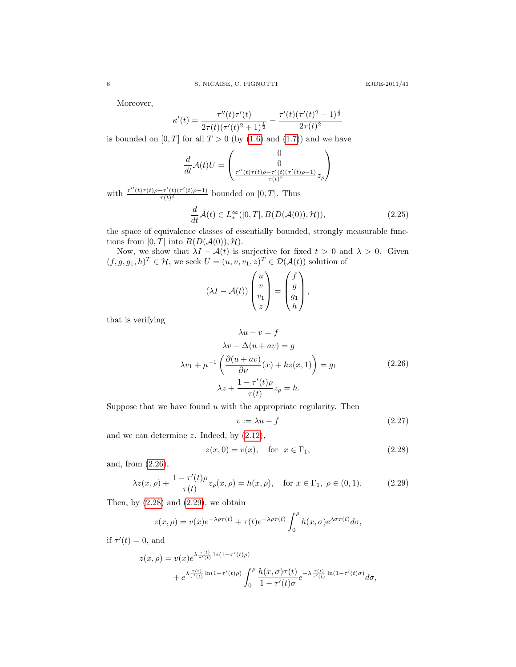Moreover,

$$
\kappa'(t) = \frac{\tau''(t)\tau'(t)}{2\tau(t)(\tau'(t)^2 + 1)^{\frac{1}{2}}} - \frac{\tau'(t)(\tau'(t)^2 + 1)^{\frac{1}{2}}}{2\tau(t)^2}
$$

is bounded on  $[0, T]$  for all  $T > 0$  (by  $(1.6)$  and  $(1.7)$ ) and we have

$$
\frac{d}{dt}\mathcal{A}(t)U = \begin{pmatrix} 0 \\ 0 \\ \frac{\tau''(t)\tau(t)\rho - \tau'(t)(\tau'(t)\rho - 1)}{\tau(t)^2} z_{\rho} \end{pmatrix}
$$

with  $\frac{\tau''(t)\tau(t)\rho-\tau'(t)(\tau'(t)\rho-1)}{\tau(t)^2}$  $\frac{-\tau(t)(\tau(t)\rho-1)}{\tau(t)^2}$  bounded on  $[0,T]$ . Thus

<span id="page-7-4"></span>
$$
\frac{d}{dt}\tilde{\mathcal{A}}(t) \in L^{\infty}_{*}([0,T], B(D(\mathcal{A}(0)), \mathcal{H})), \tag{2.25}
$$

the space of equivalence classes of essentially bounded, strongly measurable functions from  $[0, T]$  into  $B(D(A(0)), \mathcal{H})$ .

Now, we show that  $\lambda I - \mathcal{A}(t)$  is surjective for fixed  $t > 0$  and  $\lambda > 0$ . Given  $(f, g, g_1, h)^T \in \mathcal{H}$ , we seek  $U = (u, v, v_1, z)^T \in \mathcal{D}(\mathcal{A}(t))$  solution of

$$
(\lambda I - \mathcal{A}(t)) \begin{pmatrix} u \\ v \\ v_1 \\ z \end{pmatrix} = \begin{pmatrix} f \\ g \\ g_1 \\ h \end{pmatrix},
$$

that is verifying

<span id="page-7-0"></span>
$$
\lambda u - v = f
$$
  
\n
$$
\lambda v - \Delta(u + av) = g
$$
  
\n
$$
\lambda v_1 + \mu^{-1} \left( \frac{\partial (u + av)}{\partial \nu} (x) + kz(x, 1) \right) = g_1
$$
  
\n
$$
\lambda z + \frac{1 - \tau'(t)\rho}{\tau(t)} z_\rho = h.
$$
\n(2.26)

Suppose that we have found  $u$  with the appropriate regularity. Then

<span id="page-7-3"></span>
$$
v := \lambda u - f \tag{2.27}
$$

and we can determine  $z$ . Indeed, by  $(2.12)$ ,

<span id="page-7-1"></span>
$$
z(x,0) = v(x), \quad \text{for } x \in \Gamma_1,\tag{2.28}
$$

and, from [\(2.26\)](#page-7-0),

<span id="page-7-2"></span>
$$
\lambda z(x,\rho) + \frac{1 - \tau'(t)\rho}{\tau(t)} z_{\rho}(x,\rho) = h(x,\rho), \quad \text{for } x \in \Gamma_1, \ \rho \in (0,1). \tag{2.29}
$$

Then, by  $(2.28)$  and  $(2.29)$ , we obtain

$$
z(x,\rho) = v(x)e^{-\lambda\rho\tau(t)} + \tau(t)e^{-\lambda\rho\tau(t)}\int_0^\rho h(x,\sigma)e^{\lambda\sigma\tau(t)}d\sigma,
$$

if  $\tau'(t) = 0$ , and

$$
z(x,\rho) = v(x)e^{\lambda \frac{\tau(t)}{\tau'(t)} \ln(1-\tau'(t)\rho)} + e^{\lambda \frac{\tau(t)}{\tau'(t)} \ln(1-\tau'(t)\rho)} \int_0^\rho \frac{h(x,\sigma)\tau(t)}{1-\tau'(t)\sigma} e^{-\lambda \frac{\tau(t)}{\tau'(t)} \ln(1-\tau'(t)\sigma)} d\sigma,
$$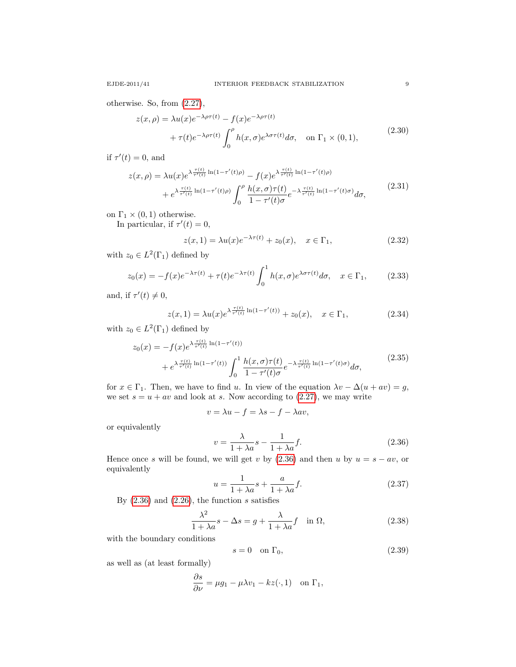otherwise. So, from [\(2.27\)](#page-7-3),

$$
z(x,\rho) = \lambda u(x)e^{-\lambda\rho\tau(t)} - f(x)e^{-\lambda\rho\tau(t)}
$$
  
+  $\tau(t)e^{-\lambda\rho\tau(t)}\int_0^{\rho} h(x,\sigma)e^{\lambda\sigma\tau(t)}d\sigma$ , on  $\Gamma_1 \times (0,1)$ , (2.30)

if  $\tau'(t) = 0$ , and

$$
z(x,\rho) = \lambda u(x)e^{\lambda \frac{\tau(t)}{\tau'(t)}\ln(1-\tau'(t)\rho)} - f(x)e^{\lambda \frac{\tau(t)}{\tau'(t)}\ln(1-\tau'(t)\rho)} + e^{\lambda \frac{\tau(t)}{\tau'(t)}\ln(1-\tau'(t)\rho)} \int_0^{\rho} \frac{h(x,\sigma)\tau(t)}{1-\tau'(t)\sigma} e^{-\lambda \frac{\tau(t)}{\tau'(t)}\ln(1-\tau'(t)\sigma)} d\sigma,
$$
(2.31)

on  $\Gamma_1 \times (0,1)$  otherwise.

In particular, if  $\tau'(t) = 0$ ,

<span id="page-8-2"></span>
$$
z(x, 1) = \lambda u(x)e^{-\lambda \tau(t)} + z_0(x), \quad x \in \Gamma_1,
$$
\n(2.32)

with  $z_0 \in L^2(\Gamma_1)$  defined by

$$
z_0(x) = -f(x)e^{-\lambda\tau(t)} + \tau(t)e^{-\lambda\tau(t)}\int_0^1 h(x,\sigma)e^{\lambda\sigma\tau(t)}d\sigma, \quad x \in \Gamma_1,
$$
 (2.33)

and, if  $\tau'(t) \neq 0$ ,

<span id="page-8-3"></span>
$$
z(x,1) = \lambda u(x)e^{\lambda \frac{\tau(t)}{\tau'(t)}\ln(1-\tau'(t))} + z_0(x), \quad x \in \Gamma_1,
$$
 (2.34)

with  $z_0 \in L^2(\Gamma_1)$  defined by

$$
z_0(x) = -f(x)e^{\lambda \frac{\tau(t)}{\tau'(t)} \ln(1-\tau'(t))} + e^{\lambda \frac{\tau(t)}{\tau'(t)} \ln(1-\tau'(t))} \int_0^1 \frac{h(x,\sigma)\tau(t)}{1-\tau'(t)\sigma} e^{-\lambda \frac{\tau(t)}{\tau'(t)} \ln(1-\tau'(t)\sigma)} d\sigma,
$$
\n(2.35)

for  $x \in \Gamma_1$ . Then, we have to find u. In view of the equation  $\lambda v - \Delta(u + av) = g$ , we set  $s = u + av$  and look at s. Now according to [\(2.27\)](#page-7-3), we may write

$$
v = \lambda u - f = \lambda s - f - \lambda av,
$$

or equivalently

<span id="page-8-0"></span>
$$
v = \frac{\lambda}{1 + \lambda a} s - \frac{1}{1 + \lambda a} f.
$$
\n(2.36)

Hence once s will be found, we will get v by  $(2.36)$  and then u by  $u = s - av$ , or equivalently

<span id="page-8-1"></span>
$$
u = \frac{1}{1 + \lambda a}s + \frac{a}{1 + \lambda a}f.
$$
\n(2.37)

By  $(2.36)$  and  $(2.26)$ , the function s satisfies

<span id="page-8-4"></span>
$$
\frac{\lambda^2}{1+\lambda a}s - \Delta s = g + \frac{\lambda}{1+\lambda a}f \quad \text{in } \Omega,
$$
\n(2.38)

with the boundary conditions

<span id="page-8-5"></span>
$$
s = 0 \quad \text{on } \Gamma_0,\tag{2.39}
$$

as well as (at least formally)

$$
\frac{\partial s}{\partial \nu} = \mu g_1 - \mu \lambda v_1 - kz(\cdot, 1) \quad \text{on } \Gamma_1,
$$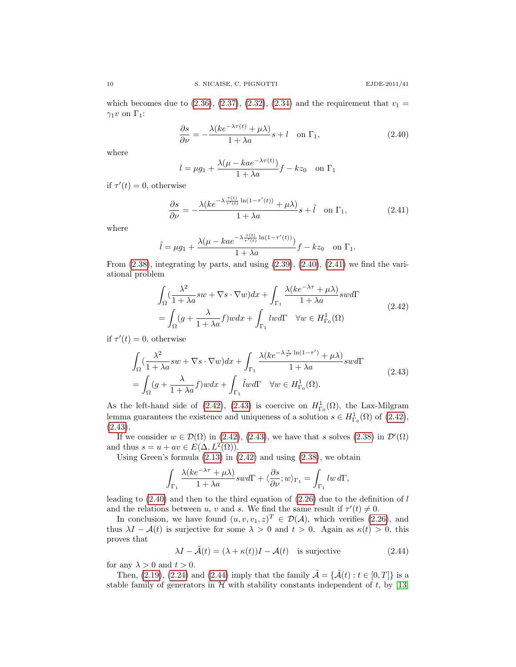which becomes due to [\(2.36\)](#page-8-0), [\(2.37\)](#page-8-1), [\(2.32\)](#page-8-2), [\(2.34\)](#page-8-3) and the requirement that  $v_1 =$  $\gamma_1 v$  on  $\Gamma_1$ :

<span id="page-9-0"></span>
$$
\frac{\partial s}{\partial \nu} = -\frac{\lambda (ke^{-\lambda \tau(t)} + \mu \lambda)}{1 + \lambda a} s + l \quad \text{on } \Gamma_1,
$$
\n(2.40)

where

$$
l = \mu g_1 + \frac{\lambda(\mu - kae^{-\lambda \tau(t)})}{1 + \lambda a}f - kz_0 \quad \text{on } \Gamma_1
$$

if  $\tau'(t) = 0$ , otherwise

<span id="page-9-1"></span>
$$
\frac{\partial s}{\partial \nu} = -\frac{\lambda (ke^{-\lambda \frac{\tau(t)}{\tau'(t)}} \ln(1 - \tau'(t)) + \mu \lambda)}{1 + \lambda a} s + \tilde{l} \quad \text{on } \Gamma_1,\tag{2.41}
$$

where

$$
\tilde{l} = \mu g_1 + \frac{\lambda(\mu - ka e^{-\lambda \frac{\tau(t)}{\tau'(t)} \ln(1 - \tau'(t))})}{1 + \lambda a} f - kz_0 \quad \text{on } \Gamma_1.
$$

From  $(2.38)$ , integrating by parts, and using  $(2.39)$ ,  $(2.40)$ ,  $(2.41)$  we find the variational problem

$$
\int_{\Omega} \left( \frac{\lambda^2}{1 + \lambda a} sw + \nabla s \cdot \nabla w \right) dx + \int_{\Gamma_1} \frac{\lambda (ke^{-\lambda \tau} + \mu \lambda)}{1 + \lambda a} swd\Gamma
$$
\n
$$
= \int_{\Omega} \left( g + \frac{\lambda}{1 + \lambda a} f \right) wdx + \int_{\Gamma_1} lw d\Gamma \quad \forall w \in H^1_{\Gamma_0}(\Omega) \tag{2.42}
$$

<span id="page-9-2"></span>if  $\tau'(t) = 0$ , otherwise

<span id="page-9-3"></span>
$$
\int_{\Omega} \left( \frac{\lambda^2}{1 + \lambda a} sw + \nabla s \cdot \nabla w \right) dx + \int_{\Gamma_1} \frac{\lambda (ke^{-\lambda \frac{\tau}{\tau'}} \ln(1 - \tau') + \mu \lambda)}{1 + \lambda a} swd\Gamma
$$
\n
$$
= \int_{\Omega} (g + \frac{\lambda}{1 + \lambda a} f) w dx + \int_{\Gamma_1} \tilde{l} w d\Gamma \quad \forall w \in H^1_{\Gamma_0}(\Omega). \tag{2.43}
$$

As the left-hand side of [\(2.42\)](#page-9-2), [\(2.43\)](#page-9-3) is coercive on  $H^1_{\Gamma_0}(\Omega)$ , the Lax-Milgram lemma guarantees the existence and uniqueness of a solution  $s \in H^1_{\Gamma_0}(\Omega)$  of  $(2.42)$ ,  $(2.43).$  $(2.43).$ 

If we consider  $w \in \mathcal{D}(\Omega)$  in [\(2.42\)](#page-9-2), [\(2.43\)](#page-9-3), we have that s solves [\(2.38\)](#page-8-4) in  $\mathcal{D}'(\Omega)$ and thus  $s = u + av \in E(\Delta, L^2(\Omega)).$ 

Using Green's formula  $(2.13)$  in  $(2.42)$  and using  $(2.38)$ , we obtain

$$
\int_{\Gamma_1} \frac{\lambda (ke^{-\lambda \tau} + \mu \lambda)}{1 + \lambda a} swd\Gamma + \langle \frac{\partial s}{\partial \nu}; w \rangle_{\Gamma_1} = \int_{\Gamma_1} lw \, d\Gamma,
$$

leading to  $(2.40)$  and then to the third equation of  $(2.26)$  due to the definition of l and the relations between u, v and s. We find the same result if  $\tau'(t) \neq 0$ .

In conclusion, we have found  $(u, v, v_1, z)^T \in \mathcal{D}(\mathcal{A})$ , which verifies [\(2.26\)](#page-7-0), and thus  $\lambda I - A(t)$  is surjective for some  $\lambda > 0$  and  $t > 0$ . Again as  $\kappa(t) > 0$ , this proves that

<span id="page-9-4"></span>
$$
\lambda I - \tilde{\mathcal{A}}(t) = (\lambda + \kappa(t))I - \mathcal{A}(t) \quad \text{is surjective}
$$
\n(2.44)

for any  $\lambda > 0$  and  $t > 0$ .

Then, [\(2.19\)](#page-5-0), [\(2.24\)](#page-6-2) and [\(2.44\)](#page-9-4) imply that the family  $\tilde{\mathcal{A}} = {\{\tilde{\mathcal{A}}(t) : t \in [0, T]\}}$  is a stable family of generators in  $H$  with stability constants independent of t, by [\[13,](#page-18-22)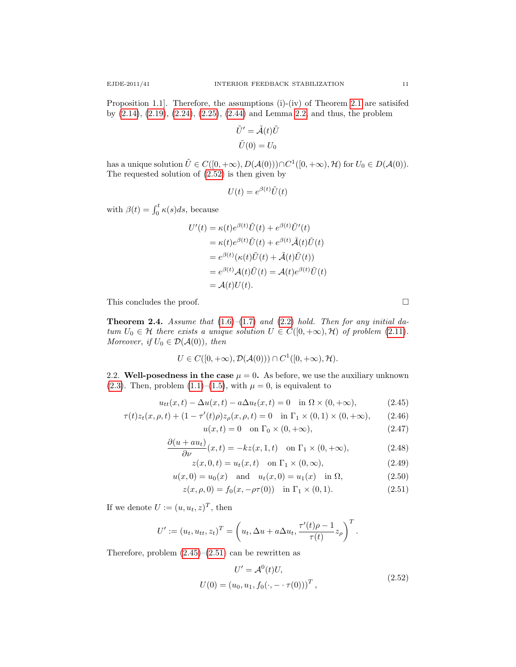Proposition 1.1]. Therefore, the assumptions (i)-(iv) of Theorem [2.1](#page-3-1) are satisifed by [\(2.14\)](#page-3-4), [\(2.19\)](#page-5-0), [\(2.24\)](#page-6-2), [\(2.25\)](#page-7-4), [\(2.44\)](#page-9-4) and Lemma [2.2,](#page-4-0) and thus, the problem

$$
\tilde{U}' = \tilde{\mathcal{A}}(t)\tilde{U}
$$

$$
\tilde{U}(0) = U_0
$$

has a unique solution  $\tilde{U} \in C([0, +\infty), D(\mathcal{A}(0))) \cap C^1([0, +\infty), \mathcal{H})$  for  $U_0 \in D(\mathcal{A}(0))$ . The requested solution of [\(2.52\)](#page-10-0) is then given by

$$
U(t) = e^{\beta(t)} \tilde{U}(t)
$$

with  $\beta(t) = \int_0^t \kappa(s)ds$ , because

$$
U'(t) = \kappa(t)e^{\beta(t)}\tilde{U}(t) + e^{\beta(t)}\tilde{U}'(t)
$$
  
=  $\kappa(t)e^{\beta(t)}\tilde{U}(t) + e^{\beta(t)}\tilde{\mathcal{A}}(t)\tilde{U}(t)$   
=  $e^{\beta(t)}(\kappa(t)\tilde{U}(t) + \tilde{\mathcal{A}}(t)\tilde{U}(t))$   
=  $e^{\beta(t)}\mathcal{A}(t)\tilde{U}(t) = \mathcal{A}(t)e^{\beta(t)}\tilde{U}(t)$   
=  $\mathcal{A}(t)U(t)$ .

This concludes the proof.

**Theorem 2.4.** Assume that  $(1.6)$ – $(1.7)$  and  $(2.2)$  hold. Then for any initial datum  $U_0 \in \mathcal{H}$  there exists a unique solution  $U \in C([0, +\infty), \mathcal{H})$  of problem [\(2.11\)](#page-3-0). Moreover, if  $U_0 \in \mathcal{D}(\mathcal{A}(0))$ , then

$$
U \in C([0, +\infty), \mathcal{D}(\mathcal{A}(0))) \cap C^1([0, +\infty), \mathcal{H}).
$$

2.2. Well-posedness in the case  $\mu = 0$ . As before, we use the auxiliary unknown [\(2.3\)](#page-2-2). Then, problem [\(1.1\)](#page-0-1)–[\(1.5\)](#page-0-2), with  $\mu = 0$ , is equivalent to

$$
u_{tt}(x,t) - \Delta u(x,t) - a\Delta u_t(x,t) = 0 \quad \text{in } \Omega \times (0, +\infty), \tag{2.45}
$$

$$
\tau(t)z_t(x,\rho,t) + (1 - \tau'(t)\rho)z_\rho(x,\rho,t) = 0 \quad \text{in } \Gamma_1 \times (0,1) \times (0,+\infty), \tag{2.46}
$$

$$
u(x,t) = 0 \quad \text{on } \Gamma_0 \times (0, +\infty), \tag{2.47}
$$

$$
\frac{\partial(u + au_t)}{\partial \nu}(x, t) = -kz(x, 1, t) \quad \text{on } \Gamma_1 \times (0, +\infty),\tag{2.48}
$$

$$
z(x,0,t) = u_t(x,t) \quad \text{on } \Gamma_1 \times (0,\infty), \tag{2.49}
$$

$$
u(x, 0) = u_0(x)
$$
 and  $u_t(x, 0) = u_1(x)$  in  $\Omega$ , (2.50)

$$
z(x, \rho, 0) = f_0(x, -\rho \tau(0)) \text{ in } \Gamma_1 \times (0, 1).
$$
 (2.51)

If we denote  $U := (u, u_t, z)^T$ , then

$$
U' := (u_t, u_{tt}, z_t)^T = \left(u_t, \Delta u + a\Delta u_t, \frac{\tau'(t)\rho - 1}{\tau(t)}z_\rho\right)^T.
$$

Therefore, problem  $(2.45)$ – $(2.51)$  can be rewritten as

<span id="page-10-0"></span>
$$
U' = \mathcal{A}^{0}(t)U,
$$
  
 
$$
U(0) = (u_0, u_1, f_0(\cdot, - \cdot \tau(0)))^{T},
$$
 (2.52)

<span id="page-10-2"></span><span id="page-10-1"></span>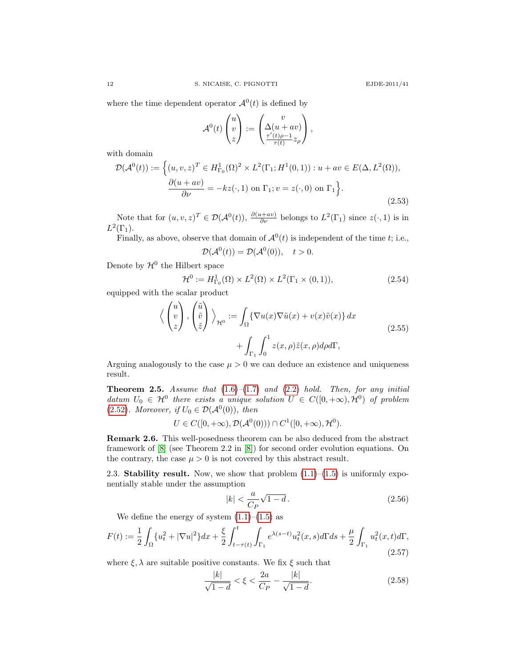where the time dependent operator  $\mathcal{A}^0(t)$  is defined by

$$
\mathcal{A}^0(t)\begin{pmatrix}u\\v\\z\end{pmatrix} := \begin{pmatrix}v\\ \Delta(u+av)\\ \frac{\tau'(t)\rho-1}{\tau(t)}z_\rho\end{pmatrix},\,
$$

with domain

$$
\mathcal{D}(\mathcal{A}^0(t)) := \left\{ (u, v, z)^T \in H^1_{\Gamma_0}(\Omega)^2 \times L^2(\Gamma_1; H^1(0, 1)) : u + av \in E(\Delta, L^2(\Omega)), \atop \frac{\partial(u + av)}{\partial \nu} = -kz(\cdot, 1) \text{ on } \Gamma_1; v = z(\cdot, 0) \text{ on } \Gamma_1 \right\}.
$$
\n(2.53)

Note that for  $(u, v, z)^T \in \mathcal{D}(\mathcal{A}^0(t)), \frac{\partial(u+av)}{\partial \nu}$  belongs to  $L^2(\Gamma_1)$  since  $z(\cdot, 1)$  is in  $L^2(\Gamma_1)$ .

Finally, as above, observe that domain of  $\mathcal{A}^0(t)$  is independent of the time t; i.e.,

$$
\mathcal{D}(\mathcal{A}^0(t)) = \mathcal{D}(\mathcal{A}^0(0)), \quad t > 0.
$$

Denote by  $\mathcal{H}^0$  the Hilbert space

$$
\mathcal{H}^0 := H^1_{\Gamma_0}(\Omega) \times L^2(\Omega) \times L^2(\Gamma_1 \times (0,1)),\tag{2.54}
$$

equipped with the scalar product

$$
\langle \begin{pmatrix} u \\ v \\ z \end{pmatrix}, \begin{pmatrix} \tilde{u} \\ \tilde{v} \\ \tilde{z} \end{pmatrix} \rangle_{\mathcal{H}^0} := \int_{\Omega} {\nabla u(x) \nabla \tilde{u}(x) + v(x) \tilde{v}(x)} dx + \int_{\Gamma_1} \int_0^1 z(x, \rho) \tilde{z}(x, \rho) d\rho d\Gamma,
$$
\n(2.55)

Arguing analogously to the case  $\mu > 0$  we can deduce an existence and uniqueness result.

**Theorem 2.5.** Assume that  $(1.6)$ – $(1.7)$  and  $(2.2)$  hold. Then, for any initial datum  $U_0 \in \mathcal{H}^0$  there exists a unique solution  $U \in C([0, +\infty), \mathcal{H}^0)$  of problem [\(2.52\)](#page-10-0). Moreover, if  $U_0 \in \mathcal{D}(\mathcal{A}^0(0))$ , then

 $U \in C([0, +\infty), \mathcal{D}(\mathcal{A}^0(0))) \cap C^1([0, +\infty), \mathcal{H}^0).$ 

Remark 2.6. This well-posedness theorem can be also deduced from the abstract framework of [\[8\]](#page-18-19) (see Theorem 2.2 in [\[8\]](#page-18-19)) for second order evolution equations. On the contrary, the case  $\mu > 0$  is not covered by this abstract result.

2.3. Stability result. Now, we show that problem  $(1.1)$ – $(1.5)$  is uniformly exponentially stable under the assumption

<span id="page-11-0"></span>
$$
|k| < \frac{a}{C_P} \sqrt{1 - d} \,. \tag{2.56}
$$

We define the energy of system  $(1.1)$ – $(1.5)$  as

<span id="page-11-1"></span>
$$
F(t) := \frac{1}{2} \int_{\Omega} \{u_t^2 + |\nabla u|^2\} dx + \frac{\xi}{2} \int_{t-\tau(t)}^t \int_{\Gamma_1} e^{\lambda(s-t)} u_t^2(x,s) d\Gamma ds + \frac{\mu}{2} \int_{\Gamma_1} u_t^2(x,t) d\Gamma,
$$
\n(2.57)

where  $\xi, \lambda$  are suitable positive constants. We fix  $\xi$  such that

<span id="page-11-2"></span>
$$
\frac{|k|}{\sqrt{1-d}} < \xi < \frac{2a}{C_P} - \frac{|k|}{\sqrt{1-d}}.\tag{2.58}
$$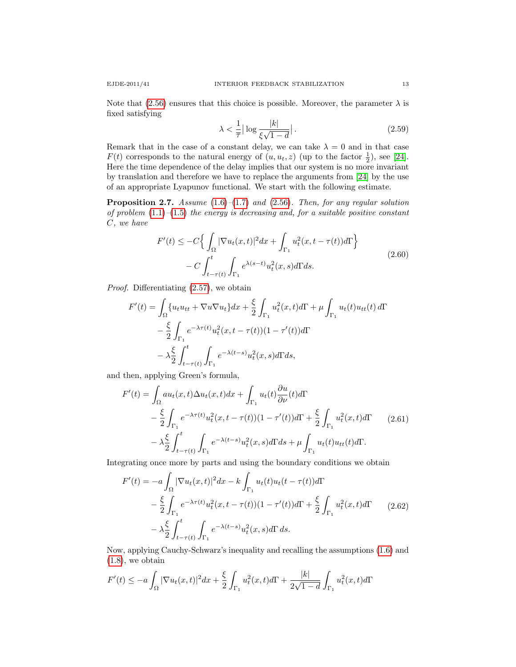Note that [\(2.56\)](#page-11-0) ensures that this choice is possible. Moreover, the parameter  $\lambda$  is fixed satisfying

<span id="page-12-1"></span>
$$
\lambda < \frac{1}{\overline{\tau}} \left| \log \frac{|k|}{\xi \sqrt{1 - d}} \right| \,. \tag{2.59}
$$

Remark that in the case of a constant delay, we can take  $\lambda = 0$  and in that case  $F(t)$  corresponds to the natural energy of  $(u, u_t, z)$  (up to the factor  $\frac{1}{2}$ ), see [\[24\]](#page-19-6). Here the time dependence of the delay implies that our system is no more invariant by translation and therefore we have to replace the arguments from [\[24\]](#page-19-6) by the use of an appropriate Lyapunov functional. We start with the following estimate.

<span id="page-12-2"></span>**Proposition 2.7.** Assume  $(1.6)$ – $(1.7)$  and  $(2.56)$ . Then, for any regular solution of problem  $(1.1)$ – $(1.5)$  the energy is decreasing and, for a suitable positive constant C, we have

$$
F'(t) \leq -C \Big\{ \int_{\Omega} |\nabla u_t(x,t)|^2 dx + \int_{\Gamma_1} u_t^2(x,t-\tau(t)) d\Gamma \Big\}
$$
  

$$
- C \int_{t-\tau(t)}^t \int_{\Gamma_1} e^{\lambda(s-t)} u_t^2(x,s) d\Gamma ds.
$$
 (2.60)

<span id="page-12-0"></span>Proof. Differentiating [\(2.57\)](#page-11-1), we obtain

$$
F'(t) = \int_{\Omega} \{u_t u_{tt} + \nabla u \nabla u_t\} dx + \frac{\xi}{2} \int_{\Gamma_1} u_t^2(x, t) d\Gamma + \mu \int_{\Gamma_1} u_t(t) u_{tt}(t) d\Gamma
$$
  

$$
- \frac{\xi}{2} \int_{\Gamma_1} e^{-\lambda \tau(t)} u_t^2(x, t - \tau(t)) (1 - \tau'(t)) d\Gamma
$$
  

$$
- \lambda \frac{\xi}{2} \int_{t - \tau(t)}^t \int_{\Gamma_1} e^{-\lambda(t - s)} u_t^2(x, s) d\Gamma ds,
$$

and then, applying Green's formula,

$$
F'(t) = \int_{\Omega} a u_t(x, t) \Delta u_t(x, t) dx + \int_{\Gamma_1} u_t(t) \frac{\partial u}{\partial \nu}(t) d\Gamma
$$
  
 
$$
- \frac{\xi}{2} \int_{\Gamma_1} e^{-\lambda \tau(t)} u_t^2(x, t - \tau(t)) (1 - \tau'(t)) d\Gamma + \frac{\xi}{2} \int_{\Gamma_1} u_t^2(x, t) d\Gamma
$$
  
 
$$
- \lambda \frac{\xi}{2} \int_{t - \tau(t)}^t \int_{\Gamma_1} e^{-\lambda(t - s)} u_t^2(x, s) d\Gamma ds + \mu \int_{\Gamma_1} u_t(t) u_{tt}(t) d\Gamma.
$$
 (2.61)

Integrating once more by parts and using the boundary conditions we obtain

$$
F'(t) = -a \int_{\Omega} |\nabla u_t(x, t)|^2 dx - k \int_{\Gamma_1} u_t(t) u_t(t - \tau(t)) d\Gamma
$$
  

$$
- \frac{\xi}{2} \int_{\Gamma_1} e^{-\lambda \tau(t)} u_t^2(x, t - \tau(t)) (1 - \tau'(t)) d\Gamma + \frac{\xi}{2} \int_{\Gamma_1} u_t^2(x, t) d\Gamma
$$
  

$$
- \lambda \frac{\xi}{2} \int_{t - \tau(t)}^t \int_{\Gamma_1} e^{-\lambda(t - s)} u_t^2(x, s) d\Gamma ds.
$$
 (2.62)

Now, applying Cauchy-Schwarz's inequality and recalling the assumptions [\(1.6\)](#page-1-5) and  $(1.8)$ , we obtain

$$
F'(t) \le -a \int_{\Omega} |\nabla u_t(x,t)|^2 dx + \frac{\xi}{2} \int_{\Gamma_1} u_t^2(x,t) d\Gamma + \frac{|k|}{2\sqrt{1-d}} \int_{\Gamma_1} u_t^2(x,t) d\Gamma
$$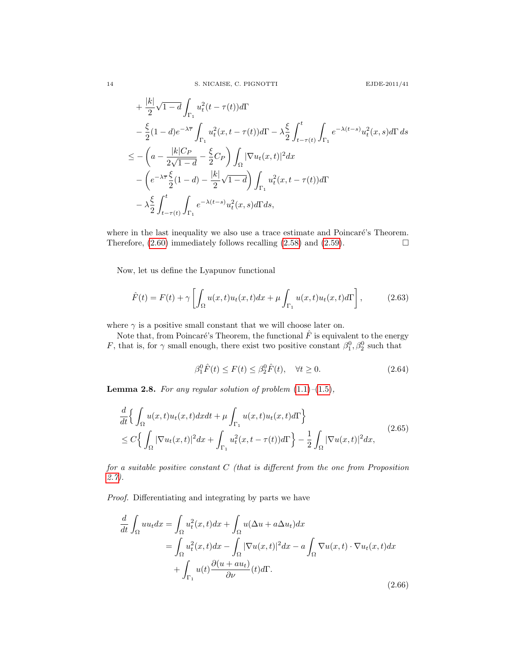$$
+\frac{|k|}{2}\sqrt{1-d}\int_{\Gamma_{1}}u_{t}^{2}(t-\tau(t))d\Gamma
$$
  

$$
-\frac{\xi}{2}(1-d)e^{-\lambda\overline{\tau}}\int_{\Gamma_{1}}u_{t}^{2}(x,t-\tau(t))d\Gamma-\lambda\frac{\xi}{2}\int_{t-\tau(t)}^{t}\int_{\Gamma_{1}}e^{-\lambda(t-s)}u_{t}^{2}(x,s)d\Gamma ds
$$
  

$$
\leq -\left(a-\frac{|k|C_{P}}{2\sqrt{1-d}}-\frac{\xi}{2}C_{P}\right)\int_{\Omega}|\nabla u_{t}(x,t)|^{2}dx
$$
  

$$
-\left(e^{-\lambda\overline{\tau}}\frac{\xi}{2}(1-d)-\frac{|k|}{2}\sqrt{1-d}\right)\int_{\Gamma_{1}}u_{t}^{2}(x,t-\tau(t))d\Gamma
$$
  

$$
-\lambda\frac{\xi}{2}\int_{t-\tau(t)}^{t}\int_{\Gamma_{1}}e^{-\lambda(t-s)}u_{t}^{2}(x,s)d\Gamma ds,
$$

where in the last inequality we also use a trace estimate and Poincaré's Theorem. Therefore,  $(2.60)$  immediately follows recalling  $(2.58)$  and  $(2.59)$ .

Now, let us define the Lyapunov functional

$$
\hat{F}(t) = F(t) + \gamma \left[ \int_{\Omega} u(x, t) u_t(x, t) dx + \mu \int_{\Gamma_1} u(x, t) u_t(x, t) d\Gamma \right],
$$
\n(2.63)

where  $\gamma$  is a positive small constant that we will choose later on.

Note that, from Poincaré's Theorem, the functional  $\hat{F}$  is equivalent to the energy F, that is, for  $\gamma$  small enough, there exist two positive constant  $\beta_1^0, \beta_2^0$  such that

<span id="page-13-3"></span>
$$
\beta_1^0 \hat{F}(t) \le F(t) \le \beta_2^0 \hat{F}(t), \quad \forall t \ge 0.
$$
\n(2.64)

<span id="page-13-1"></span>**Lemma 2.8.** For any regular solution of problem  $(1.1)$ – $(1.5)$ ,

<span id="page-13-2"></span>
$$
\frac{d}{dt} \Big\{ \int_{\Omega} u(x,t)u_t(x,t)dxdt + \mu \int_{\Gamma_1} u(x,t)u_t(x,t)d\Gamma \Big\}
$$
\n
$$
\leq C \Big\{ \int_{\Omega} |\nabla u_t(x,t)|^2 dx + \int_{\Gamma_1} u_t^2(x,t-\tau(t))d\Gamma \Big\} - \frac{1}{2} \int_{\Omega} |\nabla u(x,t)|^2 dx, \tag{2.65}
$$

for a suitable positive constant C (that is different from the one from Proposition [2.7\)](#page-12-2).

Proof. Differentiating and integrating by parts we have

<span id="page-13-0"></span>
$$
\frac{d}{dt} \int_{\Omega} uu_t dx = \int_{\Omega} u_t^2(x, t) dx + \int_{\Omega} u(\Delta u + a \Delta u_t) dx
$$
  
\n
$$
= \int_{\Omega} u_t^2(x, t) dx - \int_{\Omega} |\nabla u(x, t)|^2 dx - a \int_{\Omega} \nabla u(x, t) \cdot \nabla u_t(x, t) dx
$$
  
\n
$$
+ \int_{\Gamma_1} u(t) \frac{\partial (u + au_t)}{\partial \nu}(t) d\Gamma.
$$
\n(2.66)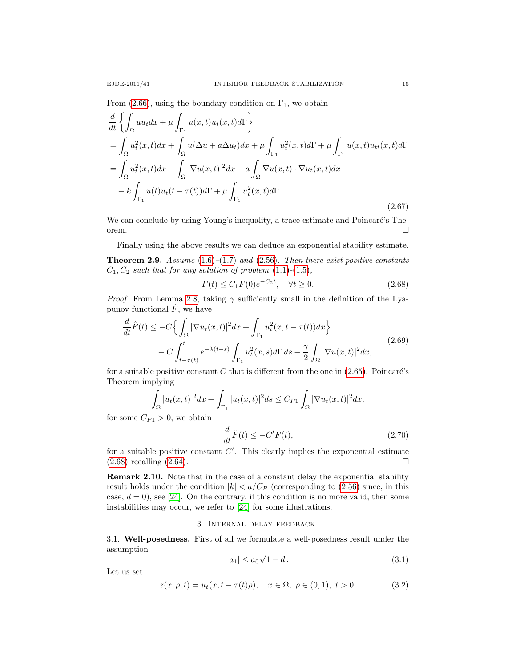From [\(2.66\)](#page-13-0), using the boundary condition on  $\Gamma_1$ , we obtain

$$
\frac{d}{dt} \left\{ \int_{\Omega} uu_t dx + \mu \int_{\Gamma_1} u(x, t) u_t(x, t) d\Gamma \right\}
$$
\n
$$
= \int_{\Omega} u_t^2(x, t) dx + \int_{\Omega} u(\Delta u + a \Delta u_t) dx + \mu \int_{\Gamma_1} u_t^2(x, t) d\Gamma + \mu \int_{\Gamma_1} u(x, t) u_{tt}(x, t) d\Gamma
$$
\n
$$
= \int_{\Omega} u_t^2(x, t) dx - \int_{\Omega} |\nabla u(x, t)|^2 dx - a \int_{\Omega} \nabla u(x, t) \cdot \nabla u_t(x, t) dx
$$
\n
$$
- k \int_{\Gamma_1} u(t) u_t(t - \tau(t)) d\Gamma + \mu \int_{\Gamma_1} u_t^2(x, t) d\Gamma.
$$
\n(2.67)

We can conclude by using Young's inequality, a trace estimate and Poincaré's Theorem.

Finally using the above results we can deduce an exponential stability estimate. **Theorem 2.9.** Assume  $(1.6)$ – $(1.7)$  and  $(2.56)$ . Then there exist positive constants  $C_1, C_2$  such that for any solution of problem  $(1.1)-(1.5)$  $(1.1)-(1.5)$  $(1.1)-(1.5)$ ,

<span id="page-14-1"></span>
$$
F(t) \le C_1 F(0) e^{-C_2 t}, \quad \forall t \ge 0.
$$
\n(2.68)

*Proof.* From Lemma [2.8,](#page-13-1) taking  $\gamma$  sufficiently small in the definition of the Lyapunov functional  $\hat{F}$ , we have

$$
\frac{d}{dt}\hat{F}(t) \le -C\Big\{\int_{\Omega}|\nabla u_t(x,t)|^2dx + \int_{\Gamma_1}u_t^2(x,t-\tau(t))dx\Big\}\n-C\int_{t-\tau(t)}^t e^{-\lambda(t-s)}\int_{\Gamma_1}u_t^2(x,s)d\Gamma ds - \frac{\gamma}{2}\int_{\Omega}|\nabla u(x,t)|^2dx,
$$
\n(2.69)

for a suitable positive constant C that is different from the one in  $(2.65)$ . Poincaré's Theorem implying

$$
\int_{\Omega} |u_t(x,t)|^2 dx + \int_{\Gamma_1} |u_t(x,t)|^2 ds \leq C_{P1} \int_{\Omega} |\nabla u_t(x,t)|^2 dx,
$$

for some  $C_{P1} > 0$ , we obtain

$$
\frac{d}{dt}\hat{F}(t) \le -C'F(t),\tag{2.70}
$$

for a suitable positive constant  $C'$ . This clearly implies the exponential estimate  $(2.68)$  recalling  $(2.64)$ .

Remark 2.10. Note that in the case of a constant delay the exponential stability result holds under the condition  $|k| < a/C_P$  (corresponding to [\(2.56\)](#page-11-0) since, in this case,  $d = 0$ , see [\[24\]](#page-19-6). On the contrary, if this condition is no more valid, then some instabilities may occur, we refer to [\[24\]](#page-19-6) for some illustrations.

### 3. Internal delay feedback

<span id="page-14-0"></span>3.1. Well-posedness. First of all we formulate a well-posedness result under the assumption √

<span id="page-14-2"></span>
$$
|a_1| \le a_0 \sqrt{1 - d} \,. \tag{3.1}
$$

Let us set

$$
z(x, \rho, t) = u_t(x, t - \tau(t)\rho), \quad x \in \Omega, \ \rho \in (0, 1), \ t > 0.
$$
 (3.2)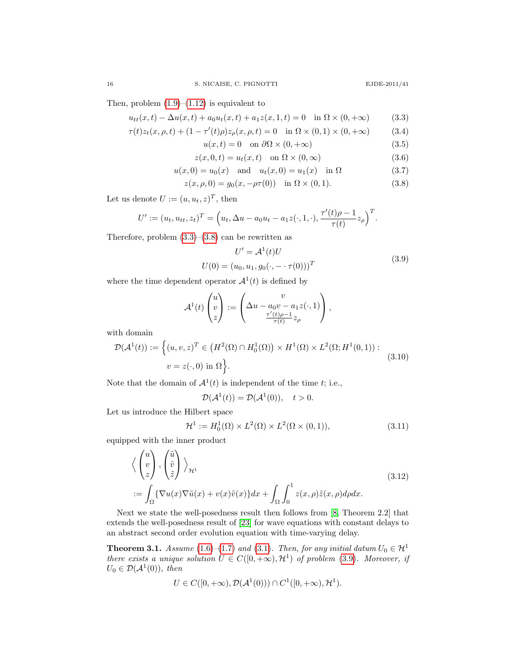Then, problem  $(1.9)$ – $(1.12)$  is equivalent to

$$
u_{tt}(x,t) - \Delta u(x,t) + a_0 u_t(x,t) + a_1 z(x,1,t) = 0 \quad \text{in } \Omega \times (0,+\infty)
$$
 (3.3)

$$
\tau(t)z_t(x,\rho,t) + (1 - \tau'(t)\rho)z_{\rho}(x,\rho,t) = 0 \quad \text{in } \Omega \times (0,1) \times (0,+\infty) \tag{3.4}
$$

<span id="page-15-1"></span><span id="page-15-0"></span>
$$
u(x,t) = 0 \quad \text{on } \partial\Omega \times (0,+\infty) \tag{3.5}
$$

$$
z(x,0,t) = u_t(x,t) \quad \text{on } \Omega \times (0,\infty)
$$
\n(3.6)

$$
u(x, 0) = u_0(x)
$$
 and  $u_t(x, 0) = u_1(x)$  in  $\Omega$  (3.7)

$$
z(x, \rho, 0) = g_0(x, -\rho \tau(0)) \text{ in } \Omega \times (0, 1).
$$
 (3.8)

Let us denote  $U := (u, u_t, z)^T$ , then

$$
U' := (u_t, u_{tt}, z_t)^T = \left(u_t, \Delta u - a_0 u_t - a_1 z(\cdot, 1, \cdot), \frac{\tau'(t)\rho - 1}{\tau(t)} z_\rho\right)^T.
$$

Therefore, problem  $(3.3)$ – $(3.8)$  can be rewritten as

<span id="page-15-2"></span>
$$
U' = A^{1}(t)U
$$
  
 
$$
U(0) = (u_{0}, u_{1}, g_{0}(\cdot, -\cdot \tau(0)))^{T}
$$
 (3.9)

where the time dependent operator  $\mathcal{A}^1(t)$  is defined by

$$
\mathcal{A}^1(t)\begin{pmatrix}u\\v\\z\end{pmatrix}:=\begin{pmatrix}v\\ \Delta u-a_0v-a_1z(\cdot,1)\\ \frac{\tau'(t)\rho-1}{\tau(t)}z_\rho\end{pmatrix},\,
$$

with domain

$$
\mathcal{D}(\mathcal{A}^1(t)) := \left\{ (u, v, z)^T \in \left( H^2(\Omega) \cap H_0^1(\Omega) \right) \times H^1(\Omega) \times L^2(\Omega; H^1(0, 1)) : \right. v = z(\cdot, 0) \text{ in } \Omega \right\}.
$$
\n(3.10)

Note that the domain of  $\mathcal{A}^1(t)$  is independent of the time t; i.e.,

$$
\mathcal{D}(\mathcal{A}^1(t)) = \mathcal{D}(\mathcal{A}^1(0)), \quad t > 0.
$$

Let us introduce the Hilbert space

$$
\mathcal{H}^1 := H_0^1(\Omega) \times L^2(\Omega) \times L^2(\Omega \times (0,1)),\tag{3.11}
$$

equipped with the inner product

$$
\left\langle \begin{pmatrix} u \\ v \\ z \end{pmatrix}, \begin{pmatrix} \tilde{u} \\ \tilde{v} \\ \tilde{z} \end{pmatrix} \right\rangle_{\mathcal{H}^1}
$$
\n
$$
:= \int_{\Omega} \{ \nabla u(x) \nabla \tilde{u}(x) + v(x) \tilde{v}(x) \} dx + \int_{\Omega} \int_0^1 z(x, \rho) \tilde{z}(x, \rho) d\rho dx. \tag{3.12}
$$

Next we state the well-posedness result then follows from [\[8,](#page-18-19) Theorem 2.2] that extends the well-posedness result of [\[23\]](#page-18-15) for wave equations with constant delays to an abstract second order evolution equation with time-varying delay.

<span id="page-15-3"></span>**Theorem 3.1.** Assume [\(1.6\)](#page-1-5)–[\(1.7\)](#page-1-4) and [\(3.1\)](#page-14-2). Then, for any initial datum  $U_0 \in \mathcal{H}^1$ there exists a unique solution  $U \in C([0, +\infty), \mathcal{H}^1)$  of problem [\(3.9\)](#page-15-2). Moreover, if  $U_0 \in \mathcal{D}(\mathcal{A}^1(0)), \text{ then}$ 

$$
U \in C([0, +\infty), \mathcal{D}(\mathcal{A}^1(0))) \cap C^1([0, +\infty), \mathcal{H}^1).
$$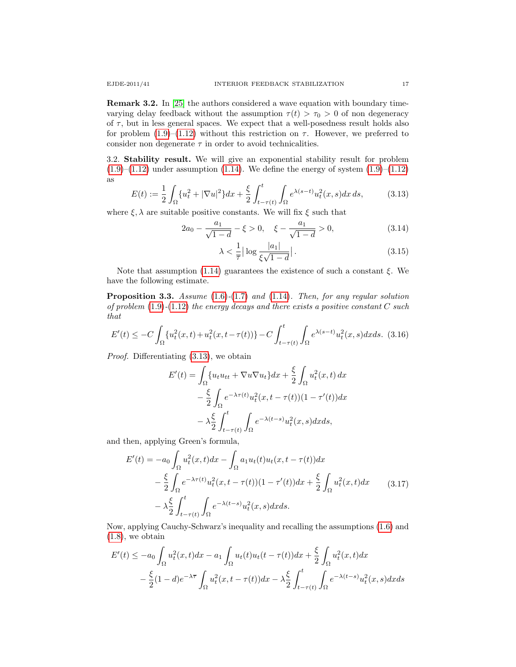Remark 3.2. In [\[25\]](#page-19-4) the authors considered a wave equation with boundary timevarying delay feedback without the assumption  $\tau(t) > \tau_0 > 0$  of non degeneracy of  $\tau$ , but in less general spaces. We expect that a well-posedness result holds also for problem [\(1.9\)](#page-1-1)–[\(1.12\)](#page-1-2) without this restriction on  $\tau$ . However, we preferred to consider non degenerate  $\tau$  in order to avoid technicalities.

3.2. Stability result. We will give an exponential stability result for problem  $(1.9)$ – $(1.12)$  under assumption  $(1.14)$ . We define the energy of system  $(1.9)$ – $(1.12)$ as

<span id="page-16-0"></span>
$$
E(t) := \frac{1}{2} \int_{\Omega} \{u_t^2 + |\nabla u|^2\} dx + \frac{\xi}{2} \int_{t-\tau(t)}^t \int_{\Omega} e^{\lambda(s-t)} u_t^2(x, s) dx ds, \tag{3.13}
$$

where  $\xi, \lambda$  are suitable positive constants. We will fix  $\xi$  such that

$$
2a_0 - \frac{a_1}{\sqrt{1-d}} - \xi > 0, \quad \xi - \frac{a_1}{\sqrt{1-d}} > 0,
$$
\n(3.14)

<span id="page-16-3"></span><span id="page-16-2"></span>
$$
\lambda < \frac{1}{\overline{\tau}} \left| \log \frac{|a_1|}{\xi \sqrt{1 - d}} \right| \tag{3.15}
$$

Note that assumption [\(1.14\)](#page-2-3) guarantees the existence of such a constant  $\xi$ . We have the following estimate.

**Proposition 3.3.** Assume  $(1.6)-(1.7)$  $(1.6)-(1.7)$  $(1.6)-(1.7)$  and  $(1.14)$ . Then, for any regular solution of problem  $(1.9)-(1.12)$  $(1.9)-(1.12)$  $(1.9)-(1.12)$  the energy decays and there exists a positive constant C such that

<span id="page-16-1"></span>
$$
E'(t) \le -C \int_{\Omega} \{u_t^2(x,t) + u_t^2(x,t-\tau(t))\} - C \int_{t-\tau(t)}^t \int_{\Omega} e^{\lambda(s-t)} u_t^2(x,s) dx ds. \tag{3.16}
$$

Proof. Differentiating [\(3.13\)](#page-16-0), we obtain

$$
E'(t) = \int_{\Omega} \{u_t u_{tt} + \nabla u \nabla u_t\} dx + \frac{\xi}{2} \int_{\Omega} u_t^2(x, t) dx
$$

$$
- \frac{\xi}{2} \int_{\Omega} e^{-\lambda \tau(t)} u_t^2(x, t - \tau(t)) (1 - \tau'(t)) dx
$$

$$
- \lambda \frac{\xi}{2} \int_{t - \tau(t)}^t \int_{\Omega} e^{-\lambda(t - s)} u_t^2(x, s) dx ds,
$$

and then, applying Green's formula,

$$
E'(t) = -a_0 \int_{\Omega} u_t^2(x, t) dx - \int_{\Omega} a_1 u_t(t) u_t(x, t - \tau(t)) dx
$$
  

$$
- \frac{\xi}{2} \int_{\Omega} e^{-\lambda \tau(t)} u_t^2(x, t - \tau(t)) (1 - \tau'(t)) dx + \frac{\xi}{2} \int_{\Omega} u_t^2(x, t) dx \qquad (3.17)
$$
  

$$
- \lambda \frac{\xi}{2} \int_{t - \tau(t)}^t \int_{\Omega} e^{-\lambda(t - s)} u_t^2(x, s) dx ds.
$$

Now, applying Cauchy-Schwarz's inequality and recalling the assumptions [\(1.6\)](#page-1-5) and  $(1.8)$ , we obtain

$$
E'(t) \le -a_0 \int_{\Omega} u_t^2(x,t)dx - a_1 \int_{\Omega} u_t(t)u_t(t - \tau(t))dx + \frac{\xi}{2} \int_{\Omega} u_t^2(x,t)dx
$$

$$
- \frac{\xi}{2}(1-d)e^{-\lambda \overline{\tau}} \int_{\Omega} u_t^2(x,t - \tau(t))dx - \lambda \frac{\xi}{2} \int_{t-\tau(t)}^t \int_{\Omega} e^{-\lambda(t-s)} u_t^2(x,s)dxds
$$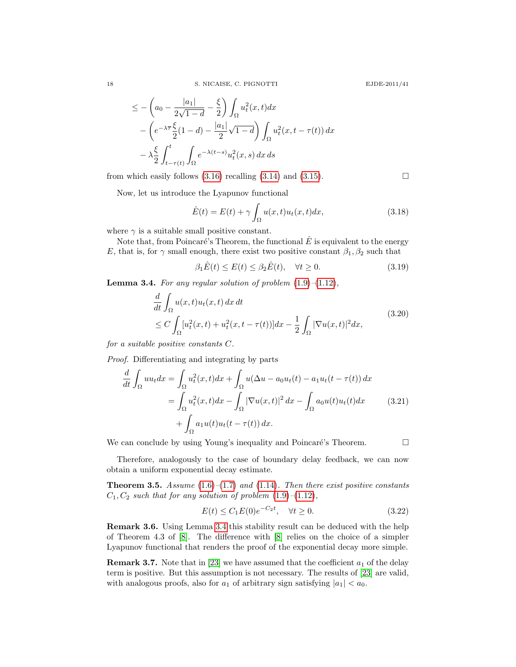$$
\leq -\left(a_0 - \frac{|a_1|}{2\sqrt{1-d}} - \frac{\xi}{2}\right) \int_{\Omega} u_t^2(x, t) dx
$$

$$
- \left(e^{-\lambda \overline{\tau}} \frac{\xi}{2} (1-d) - \frac{|a_1|}{2} \sqrt{1-d}\right) \int_{\Omega} u_t^2(x, t - \tau(t)) dx
$$

$$
- \lambda \frac{\xi}{2} \int_{t-\tau(t)}^t \int_{\Omega} e^{-\lambda(t-s)} u_t^2(x, s) dx ds
$$

from which easily follows  $(3.16)$  recalling  $(3.14)$  and  $(3.15)$ .

Now, let us introduce the Lyapunov functional

$$
\hat{E}(t) = E(t) + \gamma \int_{\Omega} u(x, t) u_t(x, t) dx,
$$
\n(3.18)

where  $\gamma$  is a suitable small positive constant.

|a1|

Note that, from Poincaré's Theorem, the functional  $\hat{E}$  is equivalent to the energy E, that is, for  $\gamma$  small enough, there exist two positive constant  $\beta_1, \beta_2$  such that

$$
\beta_1 \hat{E}(t) \le E(t) \le \beta_2 \hat{E}(t), \quad \forall t \ge 0.
$$
\n(3.19)

<span id="page-17-0"></span>**Lemma 3.4.** For any regular solution of problem  $(1.9)$ – $(1.12)$ ,

$$
\frac{d}{dt} \int_{\Omega} u(x,t)u_t(x,t) dx dt
$$
\n
$$
\leq C \int_{\Omega} [u_t^2(x,t) + u_t^2(x,t-\tau(t))] dx - \frac{1}{2} \int_{\Omega} |\nabla u(x,t)|^2 dx,
$$
\n(3.20)

for a suitable positive constants C.

Proof. Differentiating and integrating by parts

$$
\frac{d}{dt} \int_{\Omega} uu_t dx = \int_{\Omega} u_t^2(x, t) dx + \int_{\Omega} u(\Delta u - a_0 u_t(t) - a_1 u_t(t - \tau(t)) dx
$$

$$
= \int_{\Omega} u_t^2(x, t) dx - \int_{\Omega} |\nabla u(x, t)|^2 dx - \int_{\Omega} a_0 u(t) u_t(t) dx \qquad (3.21)
$$

$$
+ \int_{\Omega} a_1 u(t) u_t(t - \tau(t)) dx.
$$

We can conclude by using Young's inequality and Poincaré's Theorem.  $\Box$ 

Therefore, analogously to the case of boundary delay feedback, we can now obtain a uniform exponential decay estimate.

**Theorem 3.5.** Assume  $(1.6)$ – $(1.7)$  and  $(1.14)$ . Then there exist positive constants  $C_1, C_2$  such that for any solution of problem  $(1.9)$ - $(1.12)$ ,

$$
E(t) \le C_1 E(0) e^{-C_2 t}, \quad \forall t \ge 0.
$$
\n(3.22)

Remark 3.6. Using Lemma [3.4](#page-17-0) this stability result can be deduced with the help of Theorem 4.3 of [\[8\]](#page-18-19). The difference with [\[8\]](#page-18-19) relies on the choice of a simpler Lyapunov functional that renders the proof of the exponential decay more simple.

**Remark 3.7.** Note that in [\[23\]](#page-18-15) we have assumed that the coefficient  $a_1$  of the delay term is positive. But this assumption is not necessary. The results of [\[23\]](#page-18-15) are valid, with analogous proofs, also for  $a_1$  of arbitrary sign satisfying  $|a_1| < a_0$ .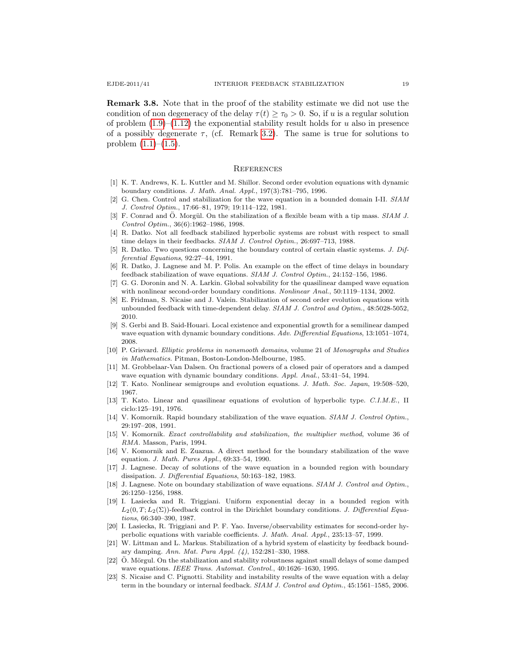Remark 3.8. Note that in the proof of the stability estimate we did not use the condition of non degeneracy of the delay  $\tau(t) \geq \tau_0 > 0$ . So, if u is a regular solution of problem  $(1.9)$ – $(1.12)$  the exponential stability result holds for u also in presence of a possibly degenerate  $\tau$ , (cf. Remark [3.2\)](#page-15-3). The same is true for solutions to problem  $(1.1)–(1.5)$  $(1.1)–(1.5)$ .

#### **REFERENCES**

- <span id="page-18-12"></span>[1] K. T. Andrews, K. L. Kuttler and M. Shillor. Second order evolution equations with dynamic boundary conditions. J. Math. Anal. Appl., 197(3):781–795, 1996.
- <span id="page-18-0"></span>[2] G. Chen. Control and stabilization for the wave equation in a bounded domain I-II. SIAM J. Control Optim., 17:66–81, 1979; 19:114–122, 1981.
- <span id="page-18-13"></span>[3] F. Conrad and Ö. Morgül. On the stabilization of a flexible beam with a tip mass.  $SIAM$  J. Control Optim., 36(6):1962–1986, 1998.
- <span id="page-18-18"></span>[4] R. Datko. Not all feedback stabilized hyperbolic systems are robust with respect to small time delays in their feedbacks. SIAM J. Control Optim., 26:697–713, 1988.
- <span id="page-18-11"></span>[5] R. Datko. Two questions concerning the boundary control of certain elastic systems. J. Differential Equations, 92:27–44, 1991.
- <span id="page-18-17"></span>[6] R. Datko, J. Lagnese and M. P. Polis. An example on the effect of time delays in boundary feedback stabilization of wave equations. SIAM J. Control Optim., 24:152–156, 1986.
- <span id="page-18-9"></span>[7] G. G. Doronin and N. A. Larkin. Global solvability for the quasilinear damped wave equation with nonlinear second-order boundary conditions. Nonlinear Anal., 50:1119-1134, 2002.
- <span id="page-18-19"></span>[8] E. Fridman, S. Nicaise and J. Valein. Stabilization of second order evolution equations with unbounded feedback with time-dependent delay. SIAM J. Control and Optim., 48:5028-5052, 2010.
- <span id="page-18-10"></span>[9] S. Gerbi and B. Said-Houari. Local existence and exponential growth for a semilinear damped wave equation with dynamic boundary conditions. Adv. Differential Equations, 13:1051-1074, 2008.
- <span id="page-18-20"></span>[10] P. Grisvard. Elliptic problems in nonsmooth domains, volume 21 of Monographs and Studies in Mathematics. Pitman, Boston-London-Melbourne, 1985.
- <span id="page-18-7"></span>[11] M. Grobbelaar-Van Dalsen. On fractional powers of a closed pair of operators and a damped wave equation with dynamic boundary conditions. Appl. Anal., 53:41–54, 1994.
- <span id="page-18-21"></span>[12] T. Kato. Nonlinear semigroups and evolution equations. J. Math. Soc. Japan, 19:508–520, 1967.
- <span id="page-18-22"></span>[13] T. Kato. Linear and quasilinear equations of evolution of hyperbolic type. C.I.M.E., II ciclo:125–191, 1976.
- <span id="page-18-4"></span>[14] V. Komornik. Rapid boundary stabilization of the wave equation. SIAM J. Control Optim., 29:197–208, 1991.
- <span id="page-18-6"></span>[15] V. Komornik. Exact controllability and stabilization, the multiplier method, volume 36 of RMA. Masson, Paris, 1994.
- <span id="page-18-5"></span>[16] V. Komornik and E. Zuazua. A direct method for the boundary stabilization of the wave equation. J. Math. Pures Appl., 69:33–54, 1990.
- <span id="page-18-2"></span>[17] J. Lagnese. Decay of solutions of the wave equation in a bounded region with boundary dissipation. J. Differential Equations, 50:163–182, 1983.
- <span id="page-18-1"></span>[18] J. Lagnese. Note on boundary stabilization of wave equations. SIAM J. Control and Optim., 26:1250–1256, 1988.
- <span id="page-18-3"></span>[19] I. Lasiecka and R. Triggiani. Uniform exponential decay in a bounded region with  $L_2(0, T; L_2(\Sigma))$ -feedback control in the Dirichlet boundary conditions. J. Differential Equations, 66:340–390, 1987.
- <span id="page-18-16"></span>[20] I. Lasiecka, R. Triggiani and P. F. Yao. Inverse/observability estimates for second-order hyperbolic equations with variable coefficients. J. Math. Anal. Appl., 235:13–57, 1999.
- <span id="page-18-14"></span>[21] W. Littman and L. Markus. Stabilization of a hybrid system of elasticity by feedback boundary damping. Ann. Mat. Pura Appl. (4), 152:281–330, 1988.
- <span id="page-18-8"></span>[22]  $\ddot{\text{O}}$ . Mörgul. On the stabilization and stability robustness against small delays of some damped wave equations. IEEE Trans. Automat. Control., 40:1626-1630, 1995.
- <span id="page-18-15"></span>[23] S. Nicaise and C. Pignotti. Stability and instability results of the wave equation with a delay term in the boundary or internal feedback. SIAM J. Control and Optim., 45:1561–1585, 2006.